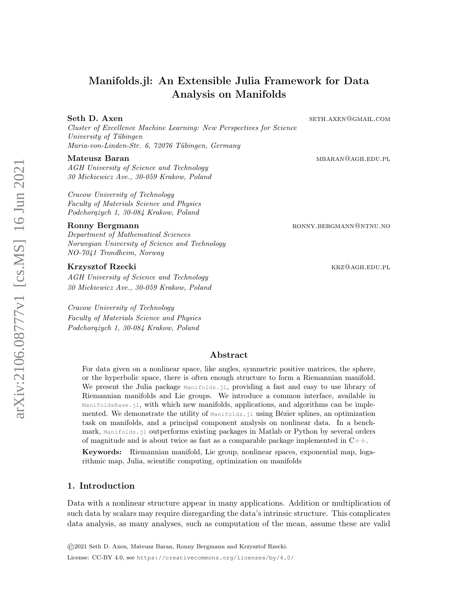# Manifolds.jl: An Extensible Julia Framework for Data Analysis on Manifolds

# Seth D. Axen sether and settle and settle and settle and settle and settle and settle and settle and settle and settle and settle and settle and settle and settle and settle and settle and settle and settle and settle and

Cluster of Excellence Machine Learning: New Perspectives for Science University of Tübingen Maria-von-Linden-Str. 6, 72076 Tübingen, Germany

AGH University of Science and Technology 30 Mickiewicz Ave., 30-059 Krakow, Poland

Cracow University of Technology Faculty of Materials Science and Physics Podchorążych 1, 30-084 Krakow, Poland

Department of Mathematical Sciences Norwegian University of Science and Technology NO-7041 Trondheim, Norway

# Krzysztof Rzecki krzysztof Rzecki krzysztof Rzecki krzysztof Rzecki krzysztof Barch a krzysztof Rzecki krz

AGH University of Science and Technology 30 Mickiewicz Ave., 30-059 Krakow, Poland

Cracow University of Technology Faculty of Materials Science and Physics Podchorążych 1, 30-084 Krakow, Poland

Mateusz Baran mbaran mbaran mbaran masjid na mateusz hasznak a mateusz hasznak a mateusz hasznak a mateusz haszn

Ronny Bergmann ronny and the settlement of the RONNY.BERGMANN @NTNU.NO

# Abstract

For data given on a nonlinear space, like angles, symmetric positive matrices, the sphere, or the hyperbolic space, there is often enough structure to form a Riemannian manifold. We present the Julia package Manifolds.jl, providing a fast and easy to use library of Riemannian manifolds and Lie groups. We introduce a common interface, available in ManifoldsBase.jl, with which new manifolds, applications, and algorithms can be implemented. We demonstrate the utility of Manifolds.jl using Bézier splines, an optimization task on manifolds, and a principal component analysis on nonlinear data. In a benchmark, Manifolds.jl outperforms existing packages in Matlab or Python by several orders of magnitude and is about twice as fast as a comparable package implemented in  $C++$ .

Keywords: Riemannian manifold, Lie group, nonlinear spaces, exponential map, logarithmic map, Julia, scientific computing, optimization on manifolds

# 1. Introduction

Data with a nonlinear structure appear in many applications. Addition or multiplication of such data by scalars may require disregarding the data's intrinsic structure. This complicates data analysis, as many analyses, such as computation of the mean, assume these are valid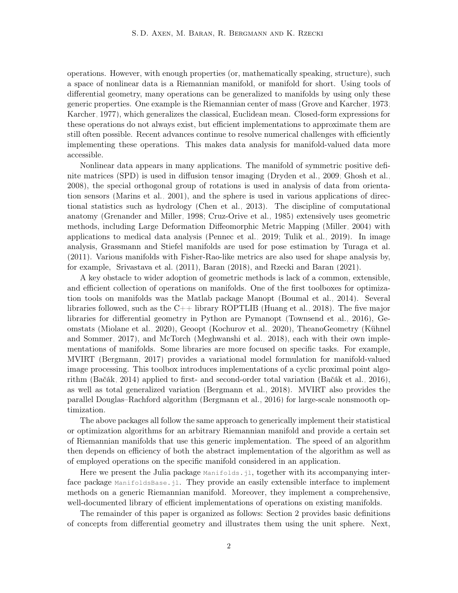operations. However, with enough properties (or, mathematically speaking, structure), such a space of nonlinear data is a Riemannian manifold, or manifold for short. Using tools of differential geometry, many operations can be generalized to manifolds by using only these generic properties. One example is the Riemannian center of mass [\(Grove and Karcher, 1973;](#page-15-0) [Karcher, 1977\)](#page-16-0), which generalizes the classical, Euclidean mean. Closed-form expressions for these operations do not always exist, but efficient implementations to approximate them are still often possible. Recent advances continue to resolve numerical challenges with efficiently implementing these operations. This makes data analysis for manifold-valued data more accessible.

Nonlinear data appears in many applications. The manifold of symmetric positive definite matrices (SPD) is used in diffusion tensor imaging [\(Dryden et al., 2009;](#page-15-1) [Ghosh et al.,](#page-15-2) [2008\)](#page-15-2), the special orthogonal group of rotations is used in analysis of data from orientation sensors [\(Marins et al., 2001\)](#page-16-1), and the sphere is used in various applications of directional statistics such as hydrology [\(Chen et al., 2013\)](#page-15-3). The discipline of computational anatomy [\(Grenander and Miller, 1998;](#page-15-4) [Cruz-Orive et al., 1985\)](#page-15-5) extensively uses geometric methods, including Large Deformation Diffeomorphic Metric Mapping [\(Miller, 2004\)](#page-16-2) with applications to medical data analysis [\(Pennec et al., 2019;](#page-16-3) [Tulik et al., 2019\)](#page-17-0). In image analysis, Grassmann and Stiefel manifolds are used for pose estimation by [Turaga et al.](#page-17-1) [\(2011\)](#page-17-1). Various manifolds with Fisher-Rao-like metrics are also used for shape analysis by, for example, [Srivastava et al.](#page-17-2) [\(2011\)](#page-17-2), [Baran](#page-14-0) [\(2018\)](#page-14-0), and [Rzecki and Baran](#page-17-3) [\(2021\)](#page-17-3).

A key obstacle to wider adoption of geometric methods is lack of a common, extensible, and efficient collection of operations on manifolds. One of the first toolboxes for optimization tools on manifolds was the Matlab package Manopt [\(Boumal et al., 2014\)](#page-15-6). Several libraries followed, such as the C++ library ROPTLIB [\(Huang et al., 2018\)](#page-16-4). The five major libraries for differential geometry in Python are Pymanopt [\(Townsend et al., 2016\)](#page-17-4), Geomstats [\(Miolane et al., 2020\)](#page-16-5), Geoopt [\(Kochurov et al., 2020\)](#page-16-6), TheanoGeometry [\(Kühnel](#page-16-7) [and Sommer, 2017\)](#page-16-7), and McTorch [\(Meghwanshi et al., 2018\)](#page-16-8), each with their own implementations of manifolds. Some libraries are more focused on specific tasks. For example, MVIRT [\(Bergmann, 2017\)](#page-14-1) provides a variational model formulation for manifold-valued image processing. This toolbox introduces implementations of a cyclic proximal point algorithm [\(Bačák, 2014\)](#page-14-2) applied to first- and second-order total variation [\(Bačák et al., 2016\)](#page-14-3), as well as total generalized variation [\(Bergmann et al., 2018\)](#page-15-7). MVIRT also provides the parallel Douglas–Rachford algorithm [\(Bergmann et al., 2016\)](#page-14-4) for large-scale nonsmooth optimization.

The above packages all follow the same approach to generically implement their statistical or optimization algorithms for an arbitrary Riemannian manifold and provide a certain set of Riemannian manifolds that use this generic implementation. The speed of an algorithm then depends on efficiency of both the abstract implementation of the algorithm as well as of employed operations on the specific manifold considered in an application.

Here we present the Julia package Manifolds. jl, together with its accompanying interface package ManifoldsBase.jl. They provide an easily extensible interface to implement methods on a generic Riemannian manifold. Moreover, they implement a comprehensive, well-documented library of efficient implementations of operations on existing manifolds.

The remainder of this paper is organized as follows: Section [2](#page-2-0) provides basic definitions of concepts from differential geometry and illustrates them using the unit sphere. Next,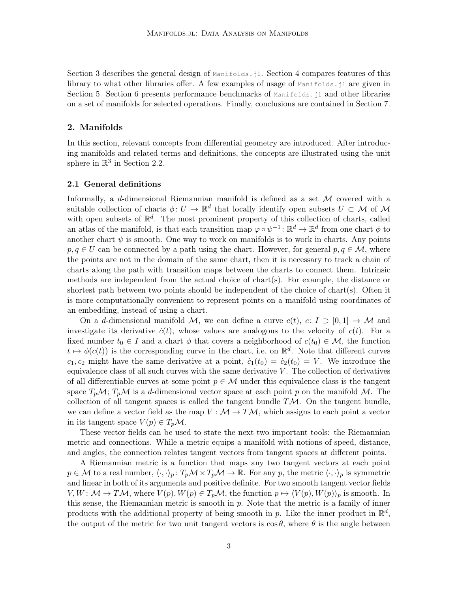Section [3](#page-5-0) describes the general design of Manifolds. jl. Section [4](#page-6-0) compares features of this library to what other libraries offer. A few examples of usage of  $\text{Manipolds.}$  j are given in Section [5.](#page-8-0) Section [6](#page-11-0) presents performance benchmarks of Manifolds. jl and other libraries on a set of manifolds for selected operations. Finally, conclusions are contained in Section [7.](#page-12-0)

# <span id="page-2-0"></span>2. Manifolds

In this section, relevant concepts from differential geometry are introduced. After introducing manifolds and related terms and definitions, the concepts are illustrated using the unit sphere in  $\mathbb{R}^3$  in Section [2.2.](#page-3-0)

#### <span id="page-2-1"></span>2.1 General definitions

Informally, a d-dimensional Riemannian manifold is defined as a set  $\mathcal M$  covered with a suitable collection of charts  $\phi: U \to \mathbb{R}^d$  that locally identify open subsets  $U \subset \mathcal{M}$  of  $\mathcal{M}$ with open subsets of  $\mathbb{R}^d$ . The most prominent property of this collection of charts, called an atlas of the manifold, is that each transition map  $\varphi \circ \psi^{-1} : \mathbb{R}^d \to \mathbb{R}^d$  from one chart  $\phi$  to another chart  $\psi$  is smooth. One way to work on manifolds is to work in charts. Any points  $p, q \in U$  can be connected by a path using the chart. However, for general  $p, q \in \mathcal{M}$ , where the points are not in the domain of the same chart, then it is necessary to track a chain of charts along the path with transition maps between the charts to connect them. Intrinsic methods are independent from the actual choice of chart(s). For example, the distance or shortest path between two points should be independent of the choice of chart(s). Often it is more computationally convenient to represent points on a manifold using coordinates of an embedding, instead of using a chart.

On a d-dimensional manifold M, we can define a curve  $c(t), c: I \supset [0,1] \rightarrow \mathcal{M}$  and investigate its derivative  $\dot{c}(t)$ , whose values are analogous to the velocity of  $c(t)$ . For a fixed number  $t_0 \in I$  and a chart  $\phi$  that covers a neighborhood of  $c(t_0) \in \mathcal{M}$ , the function  $t \mapsto \phi(c(t))$  is the corresponding curve in the chart, i.e. on  $\mathbb{R}^d$ . Note that different curves  $c_1, c_2$  might have the same derivative at a point,  $\dot{c}_1(t_0) = \dot{c}_2(t_0) = V$ . We introduce the equivalence class of all such curves with the same derivative  $V$ . The collection of derivatives of all differentiable curves at some point  $p \in \mathcal{M}$  under this equivalence class is the tangent space  $T_p\mathcal{M}$ ;  $T_p\mathcal{M}$  is a d-dimensional vector space at each point p on the manifold M. The collection of all tangent spaces is called the tangent bundle  $T\mathcal{M}$ . On the tangent bundle, we can define a vector field as the map  $V : \mathcal{M} \to T\mathcal{M}$ , which assigns to each point a vector in its tangent space  $V(p) \in T_p \mathcal{M}$ .

These vector fields can be used to state the next two important tools: the Riemannian metric and connections. While a metric equips a manifold with notions of speed, distance, and angles, the connection relates tangent vectors from tangent spaces at different points.

A Riemannian metric is a function that maps any two tangent vectors at each point  $p \in \mathcal{M}$  to a real number,  $\langle \cdot, \cdot \rangle_p : T_p \mathcal{M} \times T_p \mathcal{M} \to \mathbb{R}$ . For any p, the metric  $\langle \cdot, \cdot \rangle_p$  is symmetric and linear in both of its arguments and positive definite. For two smooth tangent vector fields  $V, W: \mathcal{M} \to T\mathcal{M}$ , where  $V(p), W(p) \in T_p\mathcal{M}$ , the function  $p \mapsto \langle V(p), W(p) \rangle_p$  is smooth. In this sense, the Riemannian metric is smooth in  $p$ . Note that the metric is a family of inner products with the additional property of being smooth in p. Like the inner product in  $\mathbb{R}^d$ , the output of the metric for two unit tangent vectors is  $\cos \theta$ , where  $\theta$  is the angle between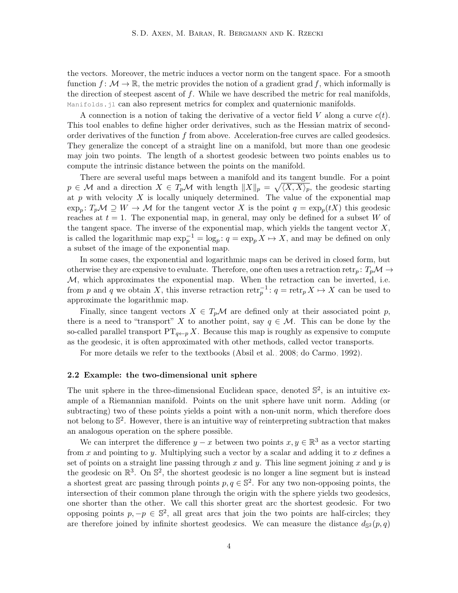the vectors. Moreover, the metric induces a vector norm on the tangent space. For a smooth function  $f: \mathcal{M} \to \mathbb{R}$ , the metric provides the notion of a gradient grad f, which informally is the direction of steepest ascent of  $f$ . While we have described the metric for real manifolds, Manifolds.jl can also represent metrics for complex and quaternionic manifolds.

A connection is a notion of taking the derivative of a vector field V along a curve  $c(t)$ . This tool enables to define higher order derivatives, such as the Hessian matrix of secondorder derivatives of the function  $f$  from above. Acceleration-free curves are called geodesics. They generalize the concept of a straight line on a manifold, but more than one geodesic may join two points. The length of a shortest geodesic between two points enables us to compute the intrinsic distance between the points on the manifold.

There are several useful maps between a manifold and its tangent bundle. For a point  $p \in \mathcal{M}$  and a direction  $X \in T_p\mathcal{M}$  with length  $||X||_p = \sqrt{\langle X, X \rangle_p}$ , the geodesic starting at p with velocity  $X$  is locally uniquely determined. The value of the exponential map  $\exp_p: T_p\mathcal{M} \supseteq W \to \mathcal{M}$  for the tangent vector X is the point  $q = \exp_p(tX)$  this geodesic reaches at  $t = 1$ . The exponential map, in general, may only be defined for a subset W of the tangent space. The inverse of the exponential map, which yields the tangent vector  $X$ , is called the logarithmic map  $\exp_p^{-1} = \log_p : q = \exp_p X \mapsto X$ , and may be defined on only a subset of the image of the exponential map.

In some cases, the exponential and logarithmic maps can be derived in closed form, but otherwise they are expensive to evaluate. Therefore, one often uses a retraction retr<sub>p</sub>:  $T_p\mathcal{M} \rightarrow$  $M$ , which approximates the exponential map. When the retraction can be inverted, i.e. from p and q we obtain X, this inverse retraction  $\text{retr}_{p}^{-1}$ :  $q = \text{retr}_{p} X \mapsto X$  can be used to approximate the logarithmic map.

Finally, since tangent vectors  $X \in T_p\mathcal{M}$  are defined only at their associated point p, there is a need to "transport" X to another point, say  $q \in \mathcal{M}$ . This can be done by the so-called parallel transport  $PT_{q\leftarrow p} X$ . Because this map is roughly as expensive to compute as the geodesic, it is often approximated with other methods, called vector transports.

For more details we refer to the textbooks [\(Absil et al., 2008;](#page-14-5) [do Carmo, 1992\)](#page-15-8).

#### <span id="page-3-0"></span>2.2 Example: the two-dimensional unit sphere

The unit sphere in the three-dimensional Euclidean space, denoted  $\mathbb{S}^2$ , is an intuitive example of a Riemannian manifold. Points on the unit sphere have unit norm. Adding (or subtracting) two of these points yields a point with a non-unit norm, which therefore does not belong to  $\mathbb{S}^2$ . However, there is an intuitive way of reinterpreting subtraction that makes an analogous operation on the sphere possible.

We can interpret the difference  $y - x$  between two points  $x, y \in \mathbb{R}^3$  as a vector starting from  $x$  and pointing to  $y$ . Multiplying such a vector by a scalar and adding it to  $x$  defines a set of points on a straight line passing through x and y. This line segment joining x and y is the geodesic on  $\mathbb{R}^3$ . On  $\mathbb{S}^2$ , the shortest geodesic is no longer a line segment but is instead a shortest great arc passing through points  $p, q \in \mathbb{S}^2$ . For any two non-opposing points, the intersection of their common plane through the origin with the sphere yields two geodesics, one shorter than the other. We call this shorter great arc the shortest geodesic. For two opposing points  $p, -p \in \mathbb{S}^2$ , all great arcs that join the two points are half-circles; they are therefore joined by infinite shortest geodesics. We can measure the distance  $d_{\mathbb{S}^2}(p,q)$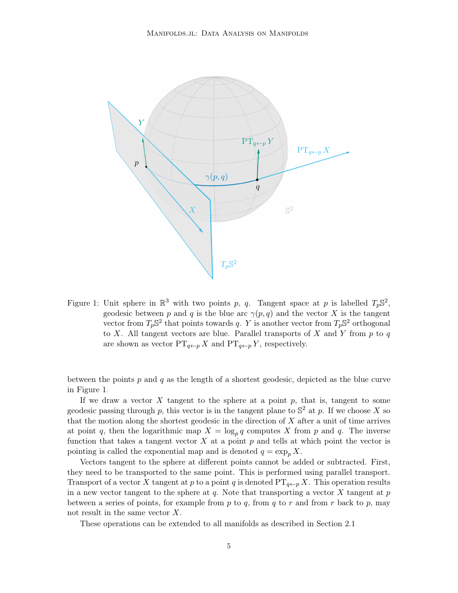

<span id="page-4-0"></span>Figure 1: Unit sphere in  $\mathbb{R}^3$  with two points p, q. Tangent space at p is labelled  $T_p \mathbb{S}^2$ , geodesic between p and q is the blue arc  $\gamma(p,q)$  and the vector X is the tangent vector from  $T_p \mathbb{S}^2$  that points towards q. Y is another vector from  $T_p \mathbb{S}^2$  orthogonal to X. All tangent vectors are blue. Parallel transports of X and Y from  $p$  to  $q$ are shown as vector  $PT_{q\leftarrow p} X$  and  $PT_{q\leftarrow p} Y$ , respectively.

between the points  $p$  and  $q$  as the length of a shortest geodesic, depicted as the blue curve in Figure [1.](#page-4-0)

If we draw a vector  $X$  tangent to the sphere at a point  $p$ , that is, tangent to some geodesic passing through p, this vector is in the tangent plane to  $\mathbb{S}^2$  at p. If we choose X so that the motion along the shortest geodesic in the direction of  $X$  after a unit of time arrives at point q, then the logarithmic map  $X = \log_p q$  computes X from p and q. The inverse function that takes a tangent vector  $X$  at a point  $p$  and tells at which point the vector is pointing is called the exponential map and is denoted  $q = \exp_n X$ .

Vectors tangent to the sphere at different points cannot be added or subtracted. First, they need to be transported to the same point. This is performed using parallel transport. Transport of a vector X tangent at p to a point q is denoted  $PT_{q\leftarrow p} X$ . This operation results in a new vector tangent to the sphere at  $q$ . Note that transporting a vector X tangent at  $p$ between a series of points, for example from p to q, from q to r and from r back to p, may not result in the same vector X.

These operations can be extended to all manifolds as described in Section [2.1.](#page-2-1)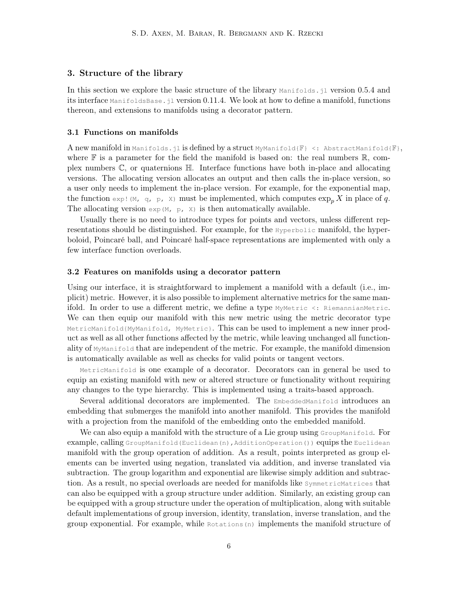### <span id="page-5-0"></span>3. Structure of the library

In this section we explore the basic structure of the library Manifolds.jl version 0.5.4 and its interface ManifoldsBase.jl version 0.11.4. We look at how to define a manifold, functions thereon, and extensions to manifolds using a decorator pattern.

#### 3.1 Functions on manifolds

**A** new manifold in Manifolds.jl is defined by a struct MyManifold  $\{\mathbb{F}\}$  <: AbstractManifold  $\{\mathbb{F}\}$ , where  $\mathbb F$  is a parameter for the field the manifold is based on: the real numbers  $\mathbb R$ , complex numbers  $\mathbb{C}$ , or quaternions  $\mathbb{H}$ . Interface functions have both in-place and allocating versions. The allocating version allocates an output and then calls the in-place version, so a user only needs to implement the in-place version. For example, for the exponential map, the function exp! (M, q, p, X) must be implemented, which computes  $\exp_n X$  in place of q. The allocating version  $\exp(M, p, X)$  is then automatically available.

Usually there is no need to introduce types for points and vectors, unless different representations should be distinguished. For example, for the Hyperbolic manifold, the hyperboloid, Poincaré ball, and Poincaré half-space representations are implemented with only a few interface function overloads.

#### 3.2 Features on manifolds using a decorator pattern

Using our interface, it is straightforward to implement a manifold with a default (i.e., implicit) metric. However, it is also possible to implement alternative metrics for the same manifold. In order to use a different metric, we define a type  $MyMetric \leq R$  is example tric. We can then equip our manifold with this new metric using the metric decorator type MetricManifold{MyManifold, MyMetric}. This can be used to implement a new inner product as well as all other functions affected by the metric, while leaving unchanged all functionality of MyManifold that are independent of the metric. For example, the manifold dimension is automatically available as well as checks for valid points or tangent vectors.

MetricManifold is one example of a decorator. Decorators can in general be used to equip an existing manifold with new or altered structure or functionality without requiring any changes to the type hierarchy. This is implemented using a traits-based approach.

Several additional decorators are implemented. The EmbeddedManifold introduces an embedding that submerges the manifold into another manifold. This provides the manifold with a projection from the manifold of the embedding onto the embedded manifold.

We can also equip a manifold with the structure of a Lie group using GroupManifold. For example, calling GroupManifold (Euclidean(n), AdditionOperation()) equips the Euclidean manifold with the group operation of addition. As a result, points interpreted as group elements can be inverted using negation, translated via addition, and inverse translated via subtraction. The group logarithm and exponential are likewise simply addition and subtraction. As a result, no special overloads are needed for manifolds like SymmetricMatrices that can also be equipped with a group structure under addition. Similarly, an existing group can be equipped with a group structure under the operation of multiplication, along with suitable default implementations of group inversion, identity, translation, inverse translation, and the group exponential. For example, while Rotations(n) implements the manifold structure of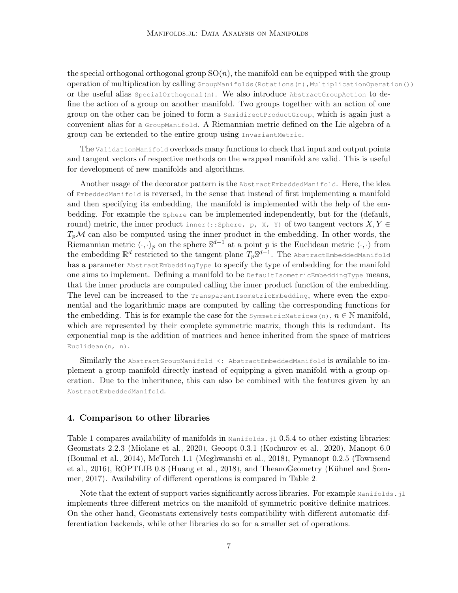the special orthogonal orthogonal group  $SO(n)$ , the manifold can be equipped with the group operation of multiplication by calling GroupManifolds (Rotations(n), MultiplicationOperation()) or the useful alias  $SpecialOrthogonal(n)$ . We also introduce AbstractGroupAction to define the action of a group on another manifold. Two groups together with an action of one group on the other can be joined to form a SemidirectProductGroup, which is again just a convenient alias for a GroupManifold. A Riemannian metric defined on the Lie algebra of a group can be extended to the entire group using InvariantMetric.

The ValidationManifold overloads many functions to check that input and output points and tangent vectors of respective methods on the wrapped manifold are valid. This is useful for development of new manifolds and algorithms.

Another usage of the decorator pattern is the AbstractEmbeddedManifold. Here, the idea of EmbeddedManifold is reversed, in the sense that instead of first implementing a manifold and then specifying its embedding, the manifold is implemented with the help of the embedding. For example the Sphere can be implemented independently, but for the (default, round) metric, the inner product inner(::Sphere, p, X, Y) of two tangent vectors  $X, Y \in$  $T_p\mathcal{M}$  can also be computed using the inner product in the embedding. In other words, the Riemannian metric  $\langle \cdot, \cdot \rangle_p$  on the sphere  $\mathbb{S}^{d-1}$  at a point p is the Euclidean metric  $\langle \cdot, \cdot \rangle$  from the embedding  $\mathbb{R}^d$  restricted to the tangent plane  $T_p\mathbb{S}^{d-1}$ . The AbstractEmbeddedManifold has a parameter AbstractEmbeddingType to specify the type of embedding for the manifold one aims to implement. Defining a manifold to be DefaultIsometricEmbeddingType means, that the inner products are computed calling the inner product function of the embedding. The level can be increased to the TransparentIsometricEmbedding, where even the exponential and the logarithmic maps are computed by calling the corresponding functions for the embedding. This is for example the case for the SymmetricMatrices(n),  $n \in \mathbb{N}$  manifold, which are represented by their complete symmetric matrix, though this is redundant. Its exponential map is the addition of matrices and hence inherited from the space of matrices Euclidean(n, n).

Similarly the AbstractGroupManifold <: AbstractEmbeddedManifold is available to implement a group manifold directly instead of equipping a given manifold with a group operation. Due to the inheritance, this can also be combined with the features given by an AbstractEmbeddedManifold.

### <span id="page-6-0"></span>4. Comparison to other libraries

Table [1](#page-7-0) compares availability of manifolds in  $\text{Mantfolds}$ ; 1 0.5.4 to other existing libraries: Geomstats 2.2.3 [\(Miolane et al., 2020\)](#page-16-5), Geoopt 0.3.1 [\(Kochurov et al., 2020\)](#page-16-6), Manopt 6.0 [\(Boumal et al., 2014\)](#page-15-6), McTorch 1.1 [\(Meghwanshi et al., 2018\)](#page-16-8), Pymanopt 0.2.5 [\(Townsend](#page-17-4) [et al., 2016\)](#page-17-4), ROPTLIB 0.8 [\(Huang et al., 2018\)](#page-16-4), and TheanoGeometry [\(Kühnel and Som](#page-16-7)[mer, 2017\)](#page-16-7). Availability of different operations is compared in Table [2.](#page-8-1)

Note that the extent of support varies significantly across libraries. For example Manifolds.jl implements three different metrics on the manifold of symmetric positive definite matrices. On the other hand, Geomstats extensively tests compatibility with different automatic differentiation backends, while other libraries do so for a smaller set of operations.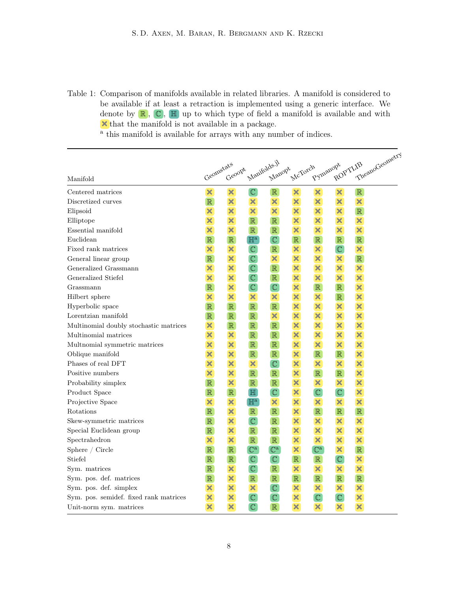<span id="page-7-0"></span>Table 1: Comparison of manifolds available in related libraries. A manifold is considered to be available if at least a retraction is implemented using a generic interface. We denote by  $\mathbb{R}$ ,  $\mathbb{C}$ ,  $\mathbb{H}$  up to which type of field a manifold is available and with m that the manifold is not available in a package.

<sup>a</sup> this manifold is available for arrays with any number of indices.

|                                        | Geomstats                 |                           |                           |                           |                           |                           |                           |                           |                |
|----------------------------------------|---------------------------|---------------------------|---------------------------|---------------------------|---------------------------|---------------------------|---------------------------|---------------------------|----------------|
| Manifold                               |                           | Geoopt                    | Manifolds.jl              | Manopt                    | McTorch                   | Pymanopt                  | ROPTLIB                   |                           | TheanoGeometry |
| Centered matrices                      | $\boldsymbol{\mathsf{x}}$ | $\boldsymbol{\mathsf{x}}$ | $\mathbb{C}$              | $\mathbb R$               | ×                         | ×                         | $\boldsymbol{\mathsf{x}}$ | $\mathbb R$               |                |
| Discretized curves                     | $\mathbb R$               | $\boldsymbol{\mathsf{x}}$ | $\boldsymbol{\mathsf{x}}$ | $\boldsymbol{\mathsf{x}}$ | $\overline{\mathbf{x}}$   | ×                         | $\boldsymbol{\mathsf{x}}$ | $\overline{\mathbf{x}}$   |                |
| Elipsoid                               | ×                         | $\boldsymbol{\mathsf{x}}$ | ×                         | $\boldsymbol{\mathsf{x}}$ | $\overline{\mathsf{x}}$   | ×                         | ×                         | $\mathbb R$               |                |
| Elliptope                              | $\overline{\mathbf{x}}$   | $\boldsymbol{\mathsf{x}}$ | $\mathbb{R}$              | $\mathbb R$               | ×                         | $\overline{\mathsf{x}}$   | ×                         | $\overline{\mathsf{x}}$   |                |
| Essential manifold                     | ×                         | $\overline{\mathbf{x}}$   | $\mathbb{R}$              | $\mathbb R$               | ×                         | $\overline{\mathsf{x}}$   | $\boldsymbol{\mathsf{x}}$ | $\overline{\mathbf{x}}$   |                |
| Euclidean                              | $\mathbb R$               | $\mathbb R$               | $\mathbb{H}^{\text{a}}$   | $\mathbb{C}$              | $\mathbb R$               | $\mathbb R$               | $\mathbb R$               | $\mathbb R$               |                |
| Fixed rank matrices                    | ×                         | ×                         | $\mathbb{C}$              | $\mathbb{R}$              | ×                         | $\boldsymbol{\times}$     | $\overline{\mathbb{C}}$   | $\boldsymbol{\times}$     |                |
| General linear group                   | $\mathbb R$               | $\boldsymbol{\times}$     | $\overline{\mathbb{C}}$   | $\boldsymbol{\mathsf{x}}$ | ×                         | $\boldsymbol{\times}$     | $\boldsymbol{\mathsf{x}}$ | $\mathbb R$               |                |
| Generalized Grassmann                  | ×                         | $\boldsymbol{\times}$     | $\overline{\mathbb{C}}$   | $\mathbb R$               | ×                         | $\boldsymbol{\mathsf{x}}$ | $\overline{\mathsf{x}}$   | $\overline{\mathbf{x}}$   |                |
| Generalized Stiefel                    | $\overline{\mathsf{x}}$   | $\overline{\mathbf{x}}$   | $\overline{\mathbb{C}}$   | $\mathbb R$               | ×                         | $\overline{\mathsf{x}}$   | $\overline{\mathsf{x}}$   | $\overline{\mathbf{x}}$   |                |
| Grassmann                              | $\mathbb R$               | ×                         | $\overline{\mathbb{C}}$   | $\mathbb{C}$              | $\overline{\mathsf{x}}$   | $\mathbb R$               | $\mathbb R$               | $\overline{\mathbf{x}}$   |                |
| Hilbert sphere                         | ×                         | $\overline{\mathsf{x}}$   | $\boldsymbol{\times}$     | $\boldsymbol{\mathsf{x}}$ | $\overline{\mathsf{x}}$   | $\boldsymbol{\times}$     | $\mathbb R$               | $\boldsymbol{\mathsf{x}}$ |                |
| Hyperbolic space                       | $\mathbb R$               | $\mathbb R$               | $\mathbb{R}$              | $\mathbb R$               | ×                         | ×                         | ×                         | $\boldsymbol{\mathsf{x}}$ |                |
| Lorentzian manifold                    | $\mathbb{R}$              | $\mathbb R$               | $\mathbb{R}$              | ×                         | ×                         | ×                         | ×                         | $\overline{\mathbf{x}}$   |                |
| Multinomial doubly stochastic matrices | $\boldsymbol{\times}$     | $\mathbb R$               | $\mathbb{R}$              | $\mathbb{R}$              | $\overline{\mathsf{x}}$   | $\boldsymbol{\times}$     | ×                         | $\overline{\mathbf{x}}$   |                |
| Multinomial matrices                   | $\boldsymbol{\times}$     | $\boldsymbol{\mathsf{x}}$ | $\mathbb R$               | $\mathbb{R}$              | $\overline{\mathsf{x}}$   | $\boldsymbol{\mathsf{x}}$ | $\overline{\mathsf{x}}$   | $\boldsymbol{\times}$     |                |
| Multnomial symmetric matrices          | $\overline{\mathbf{x}}$   | $\overline{\mathsf{x}}$   | $\mathbb R$               | $\mathbb R$               | $\overline{\mathsf{x}}$   | $\boldsymbol{\mathsf{x}}$ | $\overline{\mathbf{x}}$   | $\overline{\mathbf{x}}$   |                |
| Oblique manifold                       | $\overline{\mathbf{x}}$   | $\boldsymbol{\times}$     | $\mathbb R$               | $\mathbb R$               | $\overline{\mathsf{x}}$   | $\mathbb R$               | $\mathbb R$               | $\overline{\mathbf{x}}$   |                |
| Phases of real DFT                     | ×                         | $\overline{\mathbf{x}}$   | ×                         | $\mathbb{C}$              | $\overline{\mathsf{x}}$   | $\overline{\mathsf{x}}$   | $\overline{\mathbf{x}}$   | $\overline{\mathbf{x}}$   |                |
| Positive numbers                       | $\boldsymbol{\mathsf{x}}$ | $\boldsymbol{\times}$     | $\mathbb R$               | $\mathbb{R}$              | ×                         | $\mathbb R$               | $\mathbb R$               | $\boldsymbol{\times}$     |                |
| Probability simplex                    | $\mathbb{R}$              | $\boldsymbol{\mathsf{x}}$ | $\mathbb R$               | $\mathbb R$               | $\overline{\mathsf{x}}$   | $\boldsymbol{\mathsf{x}}$ | $\boldsymbol{\mathsf{x}}$ | $\boldsymbol{\times}$     |                |
| Product Space                          | $\mathbb{R}$              | $\mathbb R$               | $\mathbb H$               | $\mathbb{C}$              | $\overline{\mathsf{x}}$   | $\overline{\mathbb{C}}$   | $\mathbb{C}$              | $\overline{\mathbf{x}}$   |                |
| Projective Space                       | $\overline{\mathsf{x}}$   | $\boldsymbol{\mathsf{x}}$ | $\mathbb{H}^{\mathrm{a}}$ | ×                         | $\overline{\mathsf{x}}$   | $\boldsymbol{\mathsf{x}}$ | $\boldsymbol{\mathsf{x}}$ | $\overline{\mathbf{x}}$   |                |
| Rotations                              | $\mathbb{R}$              | $\overline{\mathbf{x}}$   | $\mathbb{R}$              | $\mathbb R$               | $\overline{\mathsf{x}}$   | $\mathbb{R}$              | $\mathbb{R}$              | $\overline{\mathbb{R}}$   |                |
| Skew-symmetric matrices                | $\mathbb R$               | $\boldsymbol{\times}$     | $\mathbb{C}$              | $\mathbb{R}$              | $\overline{\mathsf{x}}$   | ×                         | ×                         | $\boldsymbol{\times}$     |                |
| Special Euclidean group                | $\mathbb R$               | $\boldsymbol{\times}$     | $\mathbb{R}$              | $\mathbb R$               | $\overline{\mathsf{x}}$   | $\overline{\mathsf{x}}$   | $\boldsymbol{\times}$     | $\boldsymbol{\times}$     |                |
| Spectrahedron                          | ×                         | $\boldsymbol{\mathsf{x}}$ | $\mathbb{R}$              | $\mathbb R$               | ×                         | ×                         | ×                         | $\boldsymbol{\times}$     |                |
| Sphere / Circle                        | $\mathbb{R}$              | $\mathbb R$               | $\mathbb{C}^a$            | $\mathbb{C}^a$            | $\boldsymbol{\mathsf{x}}$ | $\mathbb{C}^{\mathrm{a}}$ | $\overline{\mathbf{x}}$   | $\mathbb{R}$              |                |
| Stiefel                                | $\mathbb R$               | $\mathbb R$               | $\mathbb{C}$              | $\mathbb{C}$              | $\mathbb{R}$              | $\mathbb R$               | $\mathbb{C}$              | ×                         |                |
| Sym. matrices                          | $\mathbb R$               | $\boldsymbol{\mathsf{x}}$ | $\mathbb{C}$              | $\mathbb{R}$              | ×                         | $\boldsymbol{\mathsf{x}}$ | ×                         | $\overline{\mathsf{x}}$   |                |
| Sym. pos. def. matrices                | $\mathbb R$               | ×                         | $\mathbb R$               | $\mathbb R$               | $\mathbb{R}$              | $\mathbb R$               | $\mathbb R$               | $\mathbb R$               |                |
| Sym. pos. def. simplex                 | ×                         | $\boldsymbol{\mathsf{x}}$ | ×                         | $\mathbb{C}$              | ×                         | ×                         | ×                         | ×                         |                |
| Sym. pos. semidef. fixed rank matrices | ×                         | ×                         | $\mathbb C$               | $\mathbb{C}$              | ×                         | $\mathbb{C}$              | $\mathbb{C}$              | ×                         |                |
| Unit-norm sym. matrices                | ×                         | $\overline{\mathsf{x}}$   | $\mathbb{C}$              | $\mathbb R$               | ×                         | ×                         | ×                         | ×                         |                |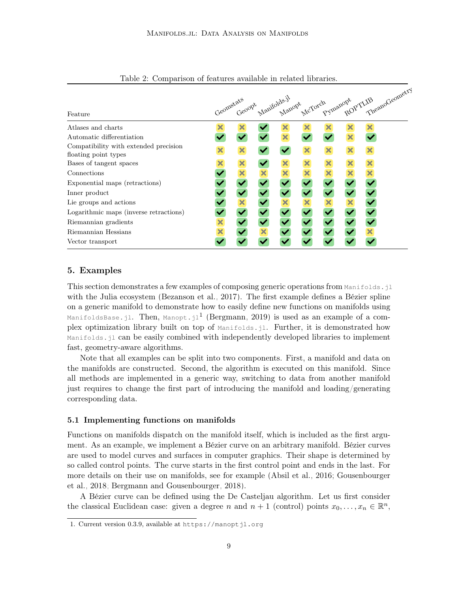|                                                               | Geometats Manifolds.jl McTorch Pymanopt TheanoGeometry |   |  |  |   |   |  |   |  |
|---------------------------------------------------------------|--------------------------------------------------------|---|--|--|---|---|--|---|--|
|                                                               |                                                        |   |  |  |   |   |  |   |  |
| Feature                                                       |                                                        |   |  |  |   |   |  |   |  |
| Atlases and charts                                            |                                                        |   |  |  |   |   |  |   |  |
| Automatic differentiation                                     |                                                        |   |  |  |   |   |  |   |  |
| Compatibility with extended precision<br>floating point types |                                                        | × |  |  | × | × |  | × |  |
| Bases of tangent spaces                                       |                                                        | × |  |  |   |   |  |   |  |
| Connections                                                   |                                                        |   |  |  |   |   |  |   |  |
| Exponential maps (retractions)                                |                                                        |   |  |  |   |   |  |   |  |
| Inner product                                                 |                                                        |   |  |  |   |   |  |   |  |
| Lie groups and actions                                        |                                                        |   |  |  |   |   |  |   |  |
| Logarithmic maps (inverse retractions)                        |                                                        |   |  |  |   |   |  |   |  |
| Riemannian gradients                                          | ×                                                      |   |  |  |   |   |  |   |  |
| Riemannian Hessians                                           |                                                        |   |  |  |   |   |  |   |  |
| Vector transport                                              |                                                        |   |  |  |   |   |  |   |  |

<span id="page-8-1"></span>Table 2: Comparison of features available in related libraries.

# <span id="page-8-0"></span>5. Examples

This section demonstrates a few examples of composing generic operations from Manifolds. il with the Julia ecosystem [\(Bezanson et al., 2017\)](#page-15-9). The first example defines a Bézier spline on a generic manifold to demonstrate how to easily define new functions on manifolds using ManifoldsBase.jl. Then, Manopt.jl $^1$  $^1$  [\(Bergmann, 2019\)](#page-14-6) is used as an example of a complex optimization library built on top of Manifolds.jl. Further, it is demonstrated how Manifolds.jl can be easily combined with independently developed libraries to implement fast, geometry-aware algorithms.

Note that all examples can be split into two components. First, a manifold and data on the manifolds are constructed. Second, the algorithm is executed on this manifold. Since all methods are implemented in a generic way, switching to data from another manifold just requires to change the first part of introducing the manifold and loading/generating corresponding data.

#### 5.1 Implementing functions on manifolds

Functions on manifolds dispatch on the manifold itself, which is included as the first argument. As an example, we implement a Bézier curve on an arbitrary manifold. Bézier curves are used to model curves and surfaces in computer graphics. Their shape is determined by so called control points. The curve starts in the first control point and ends in the last. For more details on their use on manifolds, see for example [\(Absil et al., 2016;](#page-14-7) [Gousenbourger](#page-15-10) [et al., 2018;](#page-15-10) [Bergmann and Gousenbourger, 2018\)](#page-14-8).

A Bézier curve can be defined using the De Casteljau algorithm. Let us first consider the classical Euclidean case: given a degree n and  $n + 1$  (control) points  $x_0, \ldots, x_n \in \mathbb{R}^n$ ,

<span id="page-8-2"></span><sup>1.</sup> Current version 0.3.9, available at <https://manoptjl.org>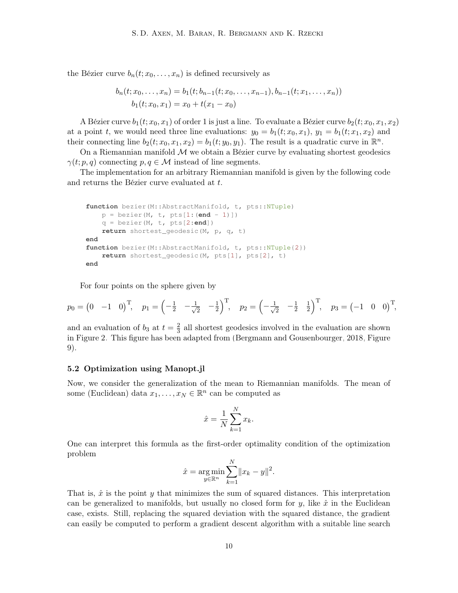the Bézier curve  $b_n(t; x_0, \ldots, x_n)$  is defined recursively as

$$
b_n(t; x_0, \ldots, x_n) = b_1(t; b_{n-1}(t; x_0, \ldots, x_{n-1}), b_{n-1}(t; x_1, \ldots, x_n))
$$
  

$$
b_1(t; x_0, x_1) = x_0 + t(x_1 - x_0)
$$

A Bézier curve  $b_1(t; x_0, x_1)$  of order 1 is just a line. To evaluate a Bézier curve  $b_2(t; x_0, x_1, x_2)$ at a point t, we would need three line evaluations:  $y_0 = b_1(t; x_0, x_1), y_1 = b_1(t; x_1, x_2)$  and their connecting line  $b_2(t; x_0, x_1, x_2) = b_1(t; y_0, y_1)$ . The result is a quadratic curve in  $\mathbb{R}^n$ .

On a Riemannian manifold  $\mathcal M$  we obtain a Bézier curve by evaluating shortest geodesics  $\gamma(t; p, q)$  connecting  $p, q \in \mathcal{M}$  instead of line segments.

The implementation for an arbitrary Riemannian manifold is given by the following code and returns the Bézier curve evaluated at t.

```
function bezier(M::AbstractManifold, t, pts::NTuple)
    p = \text{berger}(M, t, \text{pts}[1:(\text{end} - 1)])q = bezier(M, t, pts[2:end])
    return shortest_geodesic(M, p, q, t)
end
function bezier(M::AbstractManifold, t, pts::NTuple{2})
    return shortest_geodesic(M, pts[1], pts[2], t)
end
```
For four points on the sphere given by

$$
p_0 = (0 \quad -1 \quad 0)^T
$$
,  $p_1 = \left(-\frac{1}{2} \quad -\frac{1}{\sqrt{2}} \quad -\frac{1}{2}\right)^T$ ,  $p_2 = \left(-\frac{1}{\sqrt{2}} \quad -\frac{1}{2} \quad \frac{1}{2}\right)^T$ ,  $p_3 = (-1 \quad 0 \quad 0)^T$ ,

and an evaluation of  $b_3$  at  $t=\frac{2}{3}$  $\frac{2}{3}$  all shortest geodesics involved in the evaluation are shown in Figure [2.](#page-10-0) This figure has been adapted from [\(Bergmann and Gousenbourger, 2018,](#page-14-8) Figure 9).

#### 5.2 Optimization using Manopt.jl

Now, we consider the generalization of the mean to Riemannian manifolds. The mean of some (Euclidean) data  $x_1, \ldots, x_N \in \mathbb{R}^n$  can be computed as

$$
\hat{x} = \frac{1}{N} \sum_{k=1}^{N} x_k.
$$

One can interpret this formula as the first-order optimality condition of the optimization problem

$$
\hat{x} = \underset{y \in \mathbb{R}^n}{\arg \min} \sum_{k=1}^N \|x_k - y\|^2.
$$

That is,  $\hat{x}$  is the point y that minimizes the sum of squared distances. This interpretation can be generalized to manifolds, but usually no closed form for y, like  $\hat{x}$  in the Euclidean case, exists. Still, replacing the squared deviation with the squared distance, the gradient can easily be computed to perform a gradient descent algorithm with a suitable line search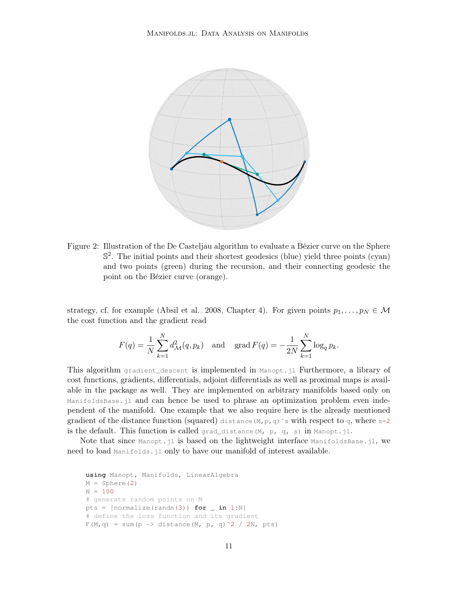

<span id="page-10-0"></span>Figure 2: Illustration of the De Casteljau algorithm to evaluate a Bézier curve on the Sphere S 2 . The initial points and their shortest geodesics (blue) yield three points (cyan) and two points (green) during the recursion, and their connecting geodesic the point on the Bézier curve (orange).

strategy, cf. for example [\(Absil et al., 2008,](#page-14-5) Chapter 4). For given points  $p_1, \ldots, p_N \in \mathcal{M}$ the cost function and the gradient read

$$
F(q) = \frac{1}{N} \sum_{k=1}^{N} d_{\mathcal{M}}^{2}(q, p_k) \quad \text{and} \quad \text{grad } F(q) = -\frac{1}{2N} \sum_{k=1}^{N} \log_q p_k.
$$

This algorithm gradient\_descent is implemented in Manopt.jl Furthermore, a library of cost functions, gradients, differentials, adjoint differentials as well as proximal maps is available in the package as well. They are implemented on arbitrary manifolds based only on ManifoldsBase.jl and can hence be used to phrase an optimization problem even independent of the manifold. One example that we also require here is the already mentioned gradient of the distance function (squared) distance  $(M, p, q)$  s with respect to q, where s=2 is the default. This function is called grad\_distance(M, p, q, s) in Manopt.jl.

Note that since  $\text{Manopt}.j1$  is based on the lightweight interface  $\text{ManifoldsBase}.j1$ , we need to load Manifolds.jl only to have our manifold of interest available.

```
using Manopt, Manifolds, LinearAlgebra
M = Sphere(2)
N = 100# generate random points on M
pts = [normalize(randn(3)) for \text{in } 1:N]# define the loss function and its gradient
F(M,q) = sum(p \rightarrow distance(M, p, q)^2 / 2N, pts)
```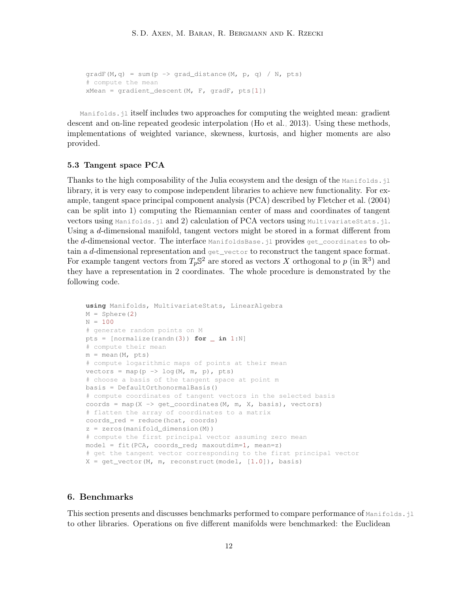```
gradF(M,q) = sum(p \rightarrow grad\_distance(M, p, q) / N, pts)# compute the mean
xMean = gradient\_descent(M, F, gradF, pts[1])
```
Manifolds.jl itself includes two approaches for computing the weighted mean: gradient descent and on-line repeated geodesic interpolation [\(Ho et al., 2013\)](#page-16-9). Using these methods, implementations of weighted variance, skewness, kurtosis, and higher moments are also provided.

#### 5.3 Tangent space PCA

Thanks to the high composability of the Julia ecosystem and the design of the Manifolds.jl library, it is very easy to compose independent libraries to achieve new functionality. For example, tangent space principal component analysis (PCA) described by [Fletcher et al.](#page-15-11) [\(2004\)](#page-15-11) can be split into 1) computing the Riemannian center of mass and coordinates of tangent vectors using Manifolds.jl and 2) calculation of PCA vectors using MultivariateStats.jl. Using a d-dimensional manifold, tangent vectors might be stored in a format different from the d-dimensional vector. The interface ManifoldsBase.jl provides get\_coordinates to obtain a d-dimensional representation and get\_vector to reconstruct the tangent space format. For example tangent vectors from  $T_p \mathbb{S}^2$  are stored as vectors X orthogonal to p (in  $\mathbb{R}^3$ ) and they have a representation in 2 coordinates. The whole procedure is demonstrated by the following code.

```
using Manifolds, MultivariateStats, LinearAlgebra
M = Sphere(2)
N = 100# generate random points on M
pts = [normalize(randn(3)) for _ in 1:N]
# compute their mean
m = mean (M, pts)
# compute logarithmic maps of points at their mean
vectors = map(p \rightarrow log(M, m, p), pts)# choose a basis of the tangent space at point m
basis = DefaultOrthonormalBasis()
# compute coordinates of tangent vectors in the selected basis
coords = map(X \rightarrow get\_coordinates(M, m, X, basis), vectors)
# flatten the array of coordinates to a matrix
coords_red = reduce(hcat, coords)
z = zeros(manifold_dimension(M))
# compute the first principal vector assuming zero mean
model = fit(PCA, coordinates\_red; maxoutdim=1, mean=z)# get the tangent vector corresponding to the first principal vector
X = get\_vector(M, m, reconstruction (model, [1.0]), basis)
```
# <span id="page-11-0"></span>6. Benchmarks

This section presents and discusses benchmarks performed to compare performance of Manifolds. il to other libraries. Operations on five different manifolds were benchmarked: the Euclidean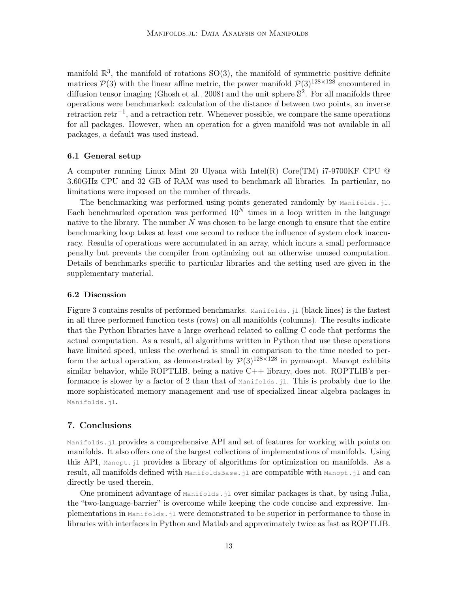manifold  $\mathbb{R}^3$ , the manifold of rotations SO(3), the manifold of symmetric positive definite matrices  $\mathcal{P}(3)$  with the linear affine metric, the power manifold  $\mathcal{P}(3)^{128\times128}$  encountered in diffusion tensor imaging [\(Ghosh et al., 2008\)](#page-15-2) and the unit sphere  $\mathbb{S}^2$ . For all manifolds three operations were benchmarked: calculation of the distance d between two points, an inverse retraction retr−<sup>1</sup> , and a retraction retr. Whenever possible, we compare the same operations for all packages. However, when an operation for a given manifold was not available in all packages, a default was used instead.

# 6.1 General setup

A computer running Linux Mint 20 Ulyana with Intel(R) Core(TM) i7-9700KF CPU @ 3.60GHz CPU and 32 GB of RAM was used to benchmark all libraries. In particular, no limitations were imposed on the number of threads.

The benchmarking was performed using points generated randomly by  $\text{Manipeds.i.}$ Each benchmarked operation was performed  $10<sup>N</sup>$  times in a loop written in the language native to the library. The number  $N$  was chosen to be large enough to ensure that the entire benchmarking loop takes at least one second to reduce the influence of system clock inaccuracy. Results of operations were accumulated in an array, which incurs a small performance penalty but prevents the compiler from optimizing out an otherwise unused computation. Details of benchmarks specific to particular libraries and the setting used are given in the supplementary material.

#### 6.2 Discussion

Figure [3](#page-13-0) contains results of performed benchmarks. Manifolds.jl (black lines) is the fastest in all three performed function tests (rows) on all manifolds (columns). The results indicate that the Python libraries have a large overhead related to calling C code that performs the actual computation. As a result, all algorithms written in Python that use these operations have limited speed, unless the overhead is small in comparison to the time needed to perform the actual operation, as demonstrated by  $\mathcal{P}(3)^{128\times128}$  in pymanopt. Manopt exhibits similar behavior, while ROPTLIB, being a native  $C_{++}$  library, does not. ROPTLIB's performance is slower by a factor of 2 than that of  $\text{Manifolds}.$  I. This is probably due to the more sophisticated memory management and use of specialized linear algebra packages in Manifolds.jl.

### <span id="page-12-0"></span>7. Conclusions

Manifolds.jl provides a comprehensive API and set of features for working with points on manifolds. It also offers one of the largest collections of implementations of manifolds. Using this API, Manopt.jl provides a library of algorithms for optimization on manifolds. As a result, all manifolds defined with ManifoldsBase.jl are compatible with Manopt.jl and can directly be used therein.

One prominent advantage of Manifolds.jl over similar packages is that, by using Julia, the "two-language-barrier" is overcome while keeping the code concise and expressive. Implementations in Manifolds.jl were demonstrated to be superior in performance to those in libraries with interfaces in Python and Matlab and approximately twice as fast as ROPTLIB.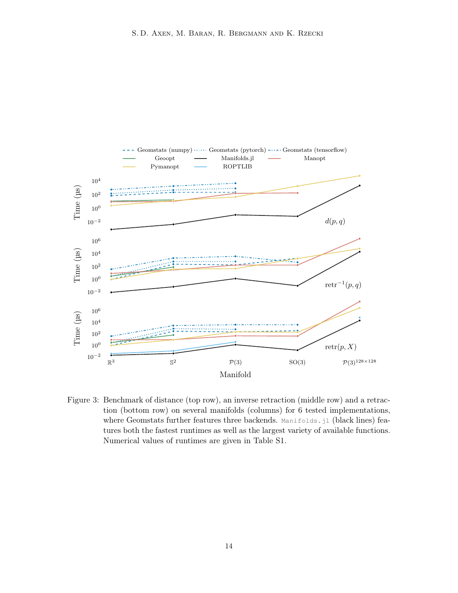

<span id="page-13-0"></span>Figure 3: Benchmark of distance (top row), an inverse retraction (middle row) and a retraction (bottom row) on several manifolds (columns) for 6 tested implementations, where Geomstats further features three backends. Manifolds.jl (black lines) features both the fastest runtimes as well as the largest variety of available functions. Numerical values of runtimes are given in Table S1.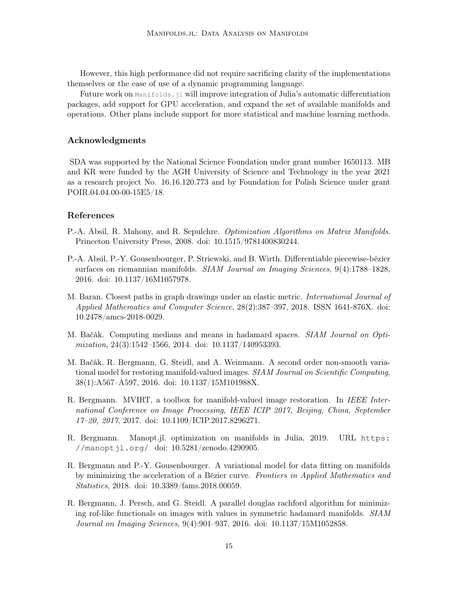However, this high performance did not require sacrificing clarity of the implementations themselves or the ease of use of a dynamic programming language.

Future work on Manifolds.jl will improve integration of Julia's automatic differentiation packages, add support for GPU acceleration, and expand the set of available manifolds and operations. Other plans include support for more statistical and machine learning methods.

# Acknowledgments

SDA was supported by the National Science Foundation under grant number 1650113. MB and KR were funded by the AGH University of Science and Technology in the year 2021 as a research project No. 16.16.120.773 and by Foundation for Polish Science under grant POIR.04.04.00-00-15E5/18.

### References

- <span id="page-14-5"></span>P.-A. Absil, R. Mahony, and R. Sepulchre. Optimization Algorithms on Matrix Manifolds. Princeton University Press, 2008. doi: 10.1515/9781400830244.
- <span id="page-14-7"></span>P.-A. Absil, P.-Y. Gousenbourger, P. Striewski, and B. Wirth. Differentiable piecewise-bézier surfaces on riemannian manifolds. SIAM Journal on Imaging Sciences, 9(4):1788–1828, 2016. doi: 10.1137/16M1057978.
- <span id="page-14-0"></span>M. Baran. Closest paths in graph drawings under an elastic metric. International Journal of Applied Mathematics and Computer Science, 28(2):387–397, 2018. ISSN 1641-876X. doi: 10.2478/amcs-2018-0029.
- <span id="page-14-2"></span>M. Bačák. Computing medians and means in hadamard spaces. SIAM Journal on Optimization, 24(3):1542-1566, 2014. doi: 10.1137/140953393.
- <span id="page-14-3"></span>M. Bačák, R. Bergmann, G. Steidl, and A. Weinmann. A second order non-smooth variational model for restoring manifold-valued images. SIAM Journal on Scientific Computing, 38(1):A567–A597, 2016. doi: 10.1137/15M101988X.
- <span id="page-14-1"></span>R. Bergmann. MVIRT, a toolbox for manifold-valued image restoration. In IEEE International Conference on Image Processing, IEEE ICIP 2017, Beijing, China, September 17–20, 2017, 2017. doi: 10.1109/ICIP.2017.8296271.
- <span id="page-14-6"></span>R. Bergmann. Manopt.jl. optimization on manifolds in Julia, 2019. URL [https:](https://manoptjl.org/) [//manoptjl.org/](https://manoptjl.org/). doi: [10.5281/zenodo.4290905.](https://doi.org/10.5281/zenodo.4290905)
- <span id="page-14-8"></span>R. Bergmann and P.-Y. Gousenbourger. A variational model for data fitting on manifolds by minimizing the acceleration of a Bézier curve. Frontiers in Applied Mathematics and Statistics, 2018. doi: 10.3389/fams.2018.00059.
- <span id="page-14-4"></span>R. Bergmann, J. Persch, and G. Steidl. A parallel douglas rachford algorithm for minimizing rof-like functionals on images with values in symmetric hadamard manifolds. SIAM Journal on Imaging Sciences, 9(4):901–937, 2016. doi: 10.1137/15M1052858.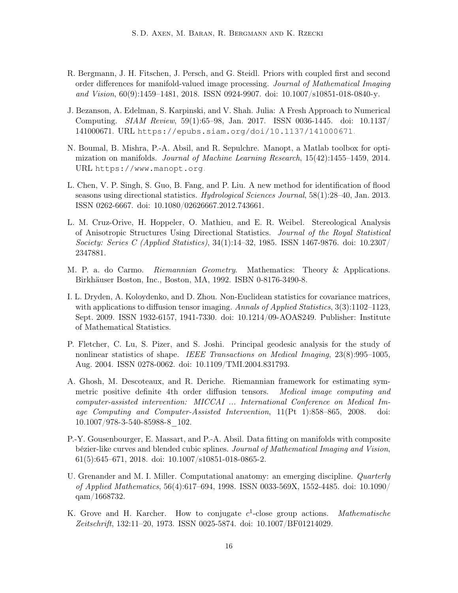- <span id="page-15-7"></span>R. Bergmann, J. H. Fitschen, J. Persch, and G. Steidl. Priors with coupled first and second order differences for manifold-valued image processing. Journal of Mathematical Imaging and Vision, 60(9):1459–1481, 2018. ISSN 0924-9907. doi: 10.1007/s10851-018-0840-y.
- <span id="page-15-9"></span>J. Bezanson, A. Edelman, S. Karpinski, and V. Shah. Julia: A Fresh Approach to Numerical Computing. SIAM Review, 59(1):65–98, Jan. 2017. ISSN 0036-1445. doi: 10.1137/ 141000671. URL <https://epubs.siam.org/doi/10.1137/141000671>.
- <span id="page-15-6"></span>N. Boumal, B. Mishra, P.-A. Absil, and R. Sepulchre. Manopt, a Matlab toolbox for optimization on manifolds. Journal of Machine Learning Research, 15(42):1455–1459, 2014. URL <https://www.manopt.org>.
- <span id="page-15-3"></span>L. Chen, V. P. Singh, S. Guo, B. Fang, and P. Liu. A new method for identification of flood seasons using directional statistics. Hydrological Sciences Journal, 58(1):28–40, Jan. 2013. ISSN 0262-6667. doi: 10.1080/02626667.2012.743661.
- <span id="page-15-5"></span>L. M. Cruz-Orive, H. Hoppeler, O. Mathieu, and E. R. Weibel. Stereological Analysis of Anisotropic Structures Using Directional Statistics. Journal of the Royal Statistical Society: Series C (Applied Statistics), 34(1):14–32, 1985. ISSN 1467-9876. doi: 10.2307/ 2347881.
- <span id="page-15-8"></span>M. P. a. do Carmo. Riemannian Geometry. Mathematics: Theory & Applications. Birkhäuser Boston, Inc., Boston, MA, 1992. ISBN 0-8176-3490-8.
- <span id="page-15-1"></span>I. L. Dryden, A. Koloydenko, and D. Zhou. Non-Euclidean statistics for covariance matrices, with applications to diffusion tensor imaging. Annals of Applied Statistics, 3(3):1102–1123, Sept. 2009. ISSN 1932-6157, 1941-7330. doi: 10.1214/09-AOAS249. Publisher: Institute of Mathematical Statistics.
- <span id="page-15-11"></span>P. Fletcher, C. Lu, S. Pizer, and S. Joshi. Principal geodesic analysis for the study of nonlinear statistics of shape. IEEE Transactions on Medical Imaging, 23(8):995–1005, Aug. 2004. ISSN 0278-0062. doi: 10.1109/TMI.2004.831793.
- <span id="page-15-2"></span>A. Ghosh, M. Descoteaux, and R. Deriche. Riemannian framework for estimating symmetric positive definite 4th order diffusion tensors. Medical image computing and computer-assisted intervention: MICCAI ... International Conference on Medical Image Computing and Computer-Assisted Intervention, 11(Pt 1):858–865, 2008. doi: 10.1007/978-3-540-85988-8\_102.
- <span id="page-15-10"></span>P.-Y. Gousenbourger, E. Massart, and P.-A. Absil. Data fitting on manifolds with composite bézier-like curves and blended cubic splines. Journal of Mathematical Imaging and Vision, 61(5):645–671, 2018. doi: 10.1007/s10851-018-0865-2.
- <span id="page-15-4"></span>U. Grenander and M. I. Miller. Computational anatomy: an emerging discipline. Quarterly of Applied Mathematics, 56(4):617–694, 1998. ISSN 0033-569X, 1552-4485. doi: 10.1090/ qam/1668732.
- <span id="page-15-0"></span>K. Grove and H. Karcher. How to conjugate  $c^1$ -close group actions. *Mathematische* Zeitschrift, 132:11–20, 1973. ISSN 0025-5874. doi: 10.1007/BF01214029.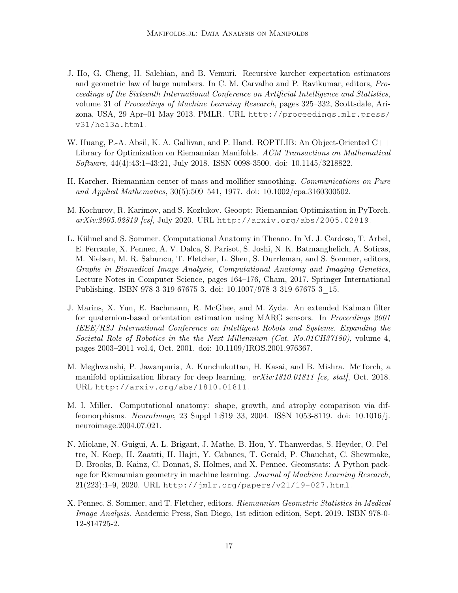- <span id="page-16-9"></span>J. Ho, G. Cheng, H. Salehian, and B. Vemuri. Recursive karcher expectation estimators and geometric law of large numbers. In C. M. Carvalho and P. Ravikumar, editors, Proceedings of the Sixteenth International Conference on Artificial Intelligence and Statistics, volume 31 of Proceedings of Machine Learning Research, pages 325–332, Scottsdale, Arizona, USA, 29 Apr–01 May 2013. PMLR. URL [http://proceedings.mlr.press/](http://proceedings.mlr.press/v31/ho13a.html) [v31/ho13a.html](http://proceedings.mlr.press/v31/ho13a.html).
- <span id="page-16-4"></span>W. Huang, P.-A. Absil, K. A. Gallivan, and P. Hand. ROPTLIB: An Object-Oriented C++ Library for Optimization on Riemannian Manifolds. ACM Transactions on Mathematical Software, 44(4):43:1–43:21, July 2018. ISSN 0098-3500. doi: 10.1145/3218822.
- <span id="page-16-0"></span>H. Karcher. Riemannian center of mass and mollifier smoothing. Communications on Pure and Applied Mathematics, 30(5):509–541, 1977. doi: 10.1002/cpa.3160300502.
- <span id="page-16-6"></span>M. Kochurov, R. Karimov, and S. Kozlukov. Geoopt: Riemannian Optimization in PyTorch. arXiv:2005.02819 [cs], July 2020. URL <http://arxiv.org/abs/2005.02819>.
- <span id="page-16-7"></span>L. Kühnel and S. Sommer. Computational Anatomy in Theano. In M. J. Cardoso, T. Arbel, E. Ferrante, X. Pennec, A. V. Dalca, S. Parisot, S. Joshi, N. K. Batmanghelich, A. Sotiras, M. Nielsen, M. R. Sabuncu, T. Fletcher, L. Shen, S. Durrleman, and S. Sommer, editors, Graphs in Biomedical Image Analysis, Computational Anatomy and Imaging Genetics, Lecture Notes in Computer Science, pages 164–176, Cham, 2017. Springer International Publishing. ISBN 978-3-319-67675-3. doi: 10.1007/978-3-319-67675-3\_15.
- <span id="page-16-1"></span>J. Marins, X. Yun, E. Bachmann, R. McGhee, and M. Zyda. An extended Kalman filter for quaternion-based orientation estimation using MARG sensors. In Proceedings 2001 IEEE/RSJ International Conference on Intelligent Robots and Systems. Expanding the Societal Role of Robotics in the the Next Millennium (Cat. No.01CH37180), volume 4, pages 2003–2011 vol.4, Oct. 2001. doi: 10.1109/IROS.2001.976367.
- <span id="page-16-8"></span>M. Meghwanshi, P. Jawanpuria, A. Kunchukuttan, H. Kasai, and B. Mishra. McTorch, a manifold optimization library for deep learning.  $arXiv:1810.01811$  [cs, stat], Oct. 2018. URL <http://arxiv.org/abs/1810.01811>.
- <span id="page-16-2"></span>M. I. Miller. Computational anatomy: shape, growth, and atrophy comparison via diffeomorphisms. NeuroImage, 23 Suppl 1:S19–33, 2004. ISSN 1053-8119. doi: 10.1016/j. neuroimage.2004.07.021.
- <span id="page-16-5"></span>N. Miolane, N. Guigui, A. L. Brigant, J. Mathe, B. Hou, Y. Thanwerdas, S. Heyder, O. Peltre, N. Koep, H. Zaatiti, H. Hajri, Y. Cabanes, T. Gerald, P. Chauchat, C. Shewmake, D. Brooks, B. Kainz, C. Donnat, S. Holmes, and X. Pennec. Geomstats: A Python package for Riemannian geometry in machine learning. Journal of Machine Learning Research, 21(223):1–9, 2020. URL <http://jmlr.org/papers/v21/19-027.html>.
- <span id="page-16-3"></span>X. Pennec, S. Sommer, and T. Fletcher, editors. Riemannian Geometric Statistics in Medical Image Analysis. Academic Press, San Diego, 1st edition edition, Sept. 2019. ISBN 978-0- 12-814725-2.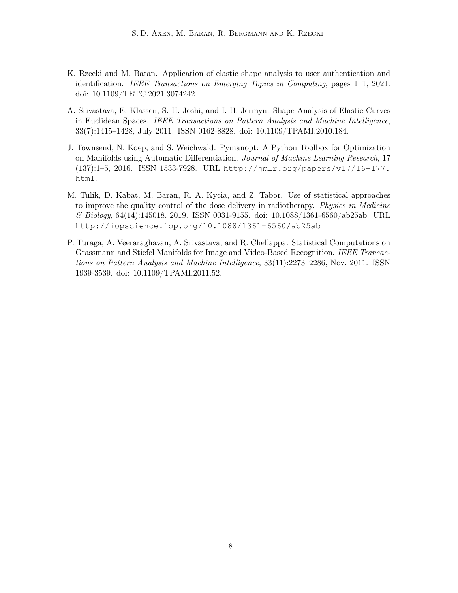- <span id="page-17-3"></span>K. Rzecki and M. Baran. Application of elastic shape analysis to user authentication and identification. IEEE Transactions on Emerging Topics in Computing, pages 1–1, 2021. doi: 10.1109/TETC.2021.3074242.
- <span id="page-17-2"></span>A. Srivastava, E. Klassen, S. H. Joshi, and I. H. Jermyn. Shape Analysis of Elastic Curves in Euclidean Spaces. IEEE Transactions on Pattern Analysis and Machine Intelligence, 33(7):1415–1428, July 2011. ISSN 0162-8828. doi: 10.1109/TPAMI.2010.184.
- <span id="page-17-4"></span>J. Townsend, N. Koep, and S. Weichwald. Pymanopt: A Python Toolbox for Optimization on Manifolds using Automatic Differentiation. Journal of Machine Learning Research, 17 (137):1–5, 2016. ISSN 1533-7928. URL [http://jmlr.org/papers/v17/16-177.](http://jmlr.org/papers/v17/16-177.html) [html](http://jmlr.org/papers/v17/16-177.html).
- <span id="page-17-0"></span>M. Tulik, D. Kabat, M. Baran, R. A. Kycia, and Z. Tabor. Use of statistical approaches to improve the quality control of the dose delivery in radiotherapy. Physics in Medicine & Biology, 64(14):145018, 2019. ISSN 0031-9155. doi: 10.1088/1361-6560/ab25ab. URL <http://iopscience.iop.org/10.1088/1361-6560/ab25ab>.
- <span id="page-17-1"></span>P. Turaga, A. Veeraraghavan, A. Srivastava, and R. Chellappa. Statistical Computations on Grassmann and Stiefel Manifolds for Image and Video-Based Recognition. IEEE Transactions on Pattern Analysis and Machine Intelligence, 33(11):2273–2286, Nov. 2011. ISSN 1939-3539. doi: 10.1109/TPAMI.2011.52.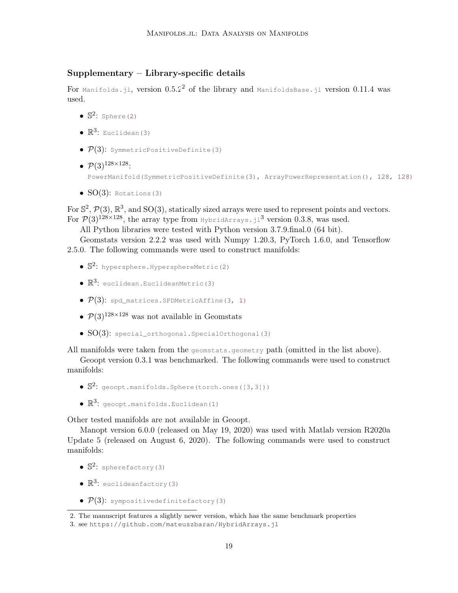# Supplementary – Library-specific details

For Manifolds.jl, version  $0.5.2<sup>2</sup>$  $0.5.2<sup>2</sup>$  $0.5.2<sup>2</sup>$  of the library and ManifoldsBase.jl version 0.11.4 was used.

- $\bullet$   $\mathbb{S}^2$ : Sphere(2)
- $\bullet \mathbb{R}^3$ : Euclidean(3)
- $P(3)$ : SymmetricPositiveDefinite(3)
- $\mathcal{P}(3)^{128 \times 128}$ : PowerManifold(SymmetricPositiveDefinite(3), ArrayPowerRepresentation(), 128, 128)
- $SO(3)$ : Rotations(3)

For  $\mathbb{S}^2$ ,  $\mathcal{P}(3)$ ,  $\mathbb{R}^3$ , and SO(3), statically sized arrays were used to represent points and vectors. For  $\mathcal{P}(3)^{128\times128}$  $\mathcal{P}(3)^{128\times128}$  $\mathcal{P}(3)^{128\times128}$ , the array type from HybridArrays. jl<sup>3</sup> version 0.3.8, was used.

All Python libraries were tested with Python version 3.7.9.final.0 (64 bit).

Geomstats version 2.2.2 was used with Numpy 1.20.3, PyTorch 1.6.0, and Tensorflow 2.5.0. The following commands were used to construct manifolds:

- $\bullet$   $\mathbb{S}^2$ : hypersphere, HypersphereMetric(2)
- $\bullet$   $\mathbb{R}^3$ : euclidean.EuclideanMetric(3)
- $P(3)$ : spd\_matrices.SPDMetricAffine(3, 1)
- $P(3)^{128\times128}$  was not available in Geomstats
- $SO(3)$ : special\_orthogonal.SpecialOrthogonal(3)

All manifolds were taken from the geomstats.geometry path (omitted in the list above).

Geoopt version 0.3.1 was benchmarked. The following commands were used to construct manifolds:

- $\bullet$   $\mathbb{S}^2$ : geoopt.manifolds. Sphere(torch.ones([3,3]))
- $\bullet$   $\mathbb{R}^3$ : geoopt.manifolds.Euclidean(1)

Other tested manifolds are not available in Geoopt.

Manopt version 6.0.0 (released on May 19, 2020) was used with Matlab version R2020a Update 5 (released on August 6, 2020). The following commands were used to construct manifolds:

- $\bullet$   $\mathbb{S}^2$ : spherefactory (3)
- $\bullet$   $\mathbb{R}^3$ : euclideanfactory(3)
- $\mathcal{P}(3)$ : sympositivedefinitefactory(3)

<span id="page-18-0"></span><sup>2.</sup> The manuscript features a slightly newer version, which has the same benchmark properties

<span id="page-18-1"></span><sup>3.</sup> see <https://github.com/mateuszbaran/HybridArrays.jl>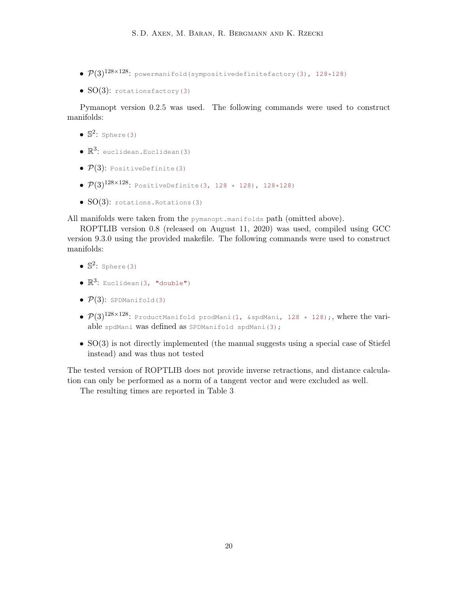- $\bullet$   $\mathcal{P}(3)^{128\times128}$ : powermanifold(sympositivedefinitefactory(3), 128\*128)
- $SO(3)$ : rotationsfactory(3)

Pymanopt version 0.2.5 was used. The following commands were used to construct manifolds:

- $\bullet$   $\mathbb{S}^2$ : Sphere(3)
- $\bullet$   $\mathbb{R}^3$ : euclidean.Euclidean(3)
- $\mathcal{P}(3)$ : PositiveDefinite(3)
- $P(3)^{128 \times 128}$ : PositiveDefinite(3, 128 \* 128), 128\*128)
- $SO(3)$ : rotations. Rotations(3)

All manifolds were taken from the pymanopt.manifolds path (omitted above).

ROPTLIB version 0.8 (released on August 11, 2020) was used, compiled using GCC version 9.3.0 using the provided makefile. The following commands were used to construct manifolds:

- $\bullet$   $\mathbb{S}^2$ : Sphere(3)
- $\bullet$   $\mathbb{R}^3$ : Euclidean(3, "double")
- $\bullet$   $\mathcal{P}(3)$ : SPDManifold(3)
- $\mathcal{P}(3)^{128\times128}$ : ProductManifold prodMani(1, &spdMani, 128 \* 128);, where the variable spdMani was defined as SPDManifold spdMani(3);
- SO(3) is not directly implemented (the manual suggests using a special case of Stiefel instead) and was thus not tested

The tested version of ROPTLIB does not provide inverse retractions, and distance calculation can only be performed as a norm of a tangent vector and were excluded as well.

The resulting times are reported in Table [3.](#page-20-0)